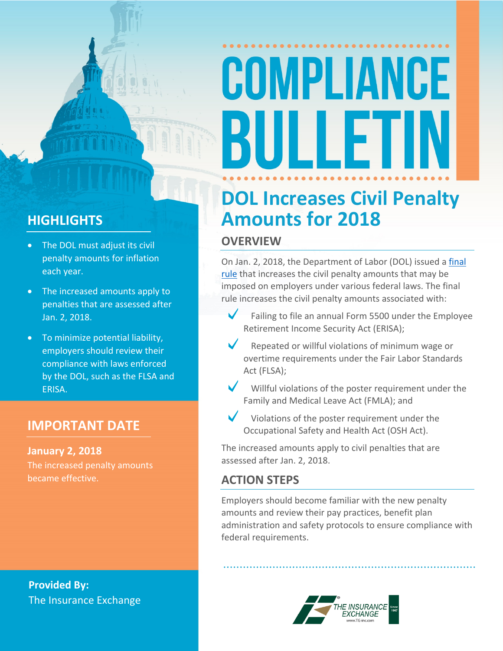# COMPLIANCE BULLET

### **HIGHLIGHTS**

- The DOL must adjust its civil penalty amounts for inflation each year.
- The increased amounts apply to penalties that are assessed after Jan. 2, 2018.
- To minimize potential liability, employers should review their compliance with laws enforced by the DOL, such as the FLSA and ERISA.

### **IMPORTANT DATE**

**January 2, 2018** The increased penalty amounts became effective.

**Provided By:** The Insurance Exchange

### **DOL Increases Civil Penalty Amounts for 2018**

#### **OVERVIEW**

On Jan. 2, 2018, the Department of Labor (DOL) issued a [final](https://www.federalregister.gov/documents/2018/01/02/2017-28224/department-of-labor-federal-civil-penalties-inflation-adjustment-act-annual-adjustments-for-2018) [rule](https://www.federalregister.gov/documents/2018/01/02/2017-28224/department-of-labor-federal-civil-penalties-inflation-adjustment-act-annual-adjustments-for-2018) that increases the civil penalty amounts that may be imposed on employers under various federal laws. The final rule increases the civil penalty amounts associated with:

- Failing to file an annual Form 5500 under the Employee Retirement Income Security Act (ERISA);
- Repeated or willful violations of minimum wage or overtime requirements under the Fair Labor Standards Act (FLSA);



- Willful violations of the poster requirement under the Family and Medical Leave Act (FMLA); and
- Violations of the poster requirement under the Occupational Safety and Health Act (OSH Act).

The increased amounts apply to civil penalties that are assessed after Jan. 2, 2018.

### **ACTION STEPS**

Employers should become familiar with the new penalty amounts and review their pay practices, benefit plan administration and safety protocols to ensure compliance with federal requirements.

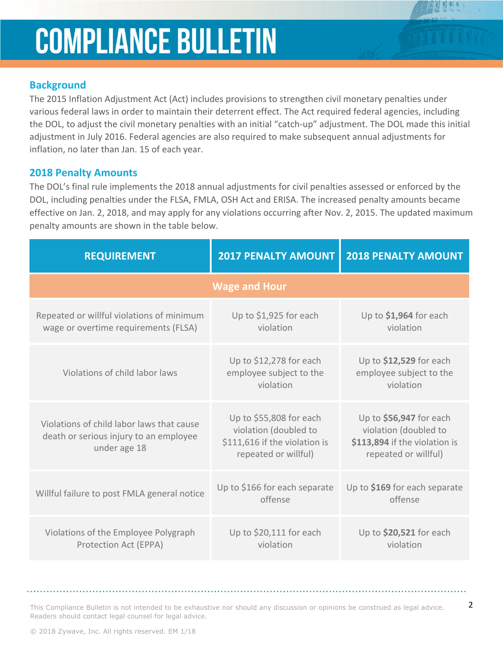### **COMPLIANCE BULLETIN**

#### **Background**

The 2015 Inflation Adjustment Act (Act) includes provisions to strengthen civil monetary penalties under various federal laws in order to maintain their deterrent effect. The Act required federal agencies, including the DOL, to adjust the civil monetary penalties with an initial "catch-up" adjustment. The DOL made this initial adjustment in July 2016. Federal agencies are also required to make subsequent annual adjustments for inflation, no later than Jan. 15 of each year.

#### **2018 Penalty Amounts**

The DOL's final rule implements the 2018 annual adjustments for civil penalties assessed or enforced by the DOL, including penalties under the FLSA, FMLA, OSH Act and ERISA. The increased penalty amounts became effective on Jan. 2, 2018, and may apply for any violations occurring after Nov. 2, 2015. The updated maximum penalty amounts are shown in the table below.

| <b>REQUIREMENT</b>                                                                                  | <b>2017 PENALTY AMOUNT</b>                                                                                | <b>2018 PENALTY AMOUNT</b>                                                                                |  |  |
|-----------------------------------------------------------------------------------------------------|-----------------------------------------------------------------------------------------------------------|-----------------------------------------------------------------------------------------------------------|--|--|
| <b>Wage and Hour</b>                                                                                |                                                                                                           |                                                                                                           |  |  |
| Repeated or willful violations of minimum<br>wage or overtime requirements (FLSA)                   | Up to $$1,925$ for each<br>violation                                                                      | Up to \$1,964 for each<br>violation                                                                       |  |  |
| Violations of child labor laws                                                                      | Up to \$12,278 for each<br>employee subject to the<br>violation                                           | Up to \$12,529 for each<br>employee subject to the<br>violation                                           |  |  |
| Violations of child labor laws that cause<br>death or serious injury to an employee<br>under age 18 | Up to \$55,808 for each<br>violation (doubled to<br>\$111,616 if the violation is<br>repeated or willful) | Up to \$56,947 for each<br>violation (doubled to<br>\$113,894 if the violation is<br>repeated or willful) |  |  |
| Willful failure to post FMLA general notice                                                         | Up to \$166 for each separate<br>offense                                                                  | Up to \$169 for each separate<br>offense                                                                  |  |  |
| Violations of the Employee Polygraph<br>Protection Act (EPPA)                                       | Up to \$20,111 for each<br>violation                                                                      | Up to \$20,521 for each<br>violation                                                                      |  |  |

This Compliance Bulletin is not intended to be exhaustive nor should any discussion or opinions be construed as legal advice.  $2$ Readers should contact legal counsel for legal advice.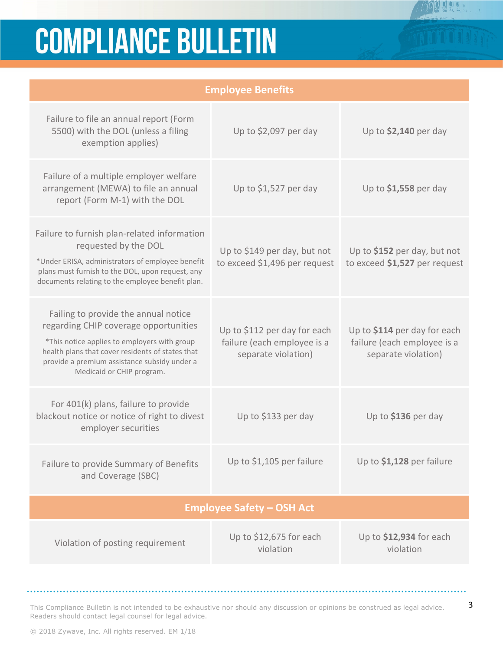### **COMPLIANCE BULLETIN**

| <b>Employee Benefits</b>                                                                                                                                                                                                                                       |                                                                                    |                                                                                    |  |
|----------------------------------------------------------------------------------------------------------------------------------------------------------------------------------------------------------------------------------------------------------------|------------------------------------------------------------------------------------|------------------------------------------------------------------------------------|--|
| Failure to file an annual report (Form<br>5500) with the DOL (unless a filing<br>exemption applies)                                                                                                                                                            | Up to \$2,097 per day                                                              | Up to \$2,140 per day                                                              |  |
| Failure of a multiple employer welfare<br>arrangement (MEWA) to file an annual<br>report (Form M-1) with the DOL                                                                                                                                               | Up to $$1,527$ per day                                                             | Up to $$1,558$ per day                                                             |  |
| Failure to furnish plan-related information<br>requested by the DOL<br>*Under ERISA, administrators of employee benefit<br>plans must furnish to the DOL, upon request, any<br>documents relating to the employee benefit plan.                                | Up to \$149 per day, but not<br>to exceed \$1,496 per request                      | Up to \$152 per day, but not<br>to exceed \$1,527 per request                      |  |
| Failing to provide the annual notice<br>regarding CHIP coverage opportunities<br>*This notice applies to employers with group<br>health plans that cover residents of states that<br>provide a premium assistance subsidy under a<br>Medicaid or CHIP program. | Up to \$112 per day for each<br>failure (each employee is a<br>separate violation) | Up to \$114 per day for each<br>failure (each employee is a<br>separate violation) |  |
| For 401(k) plans, failure to provide<br>blackout notice or notice of right to divest<br>employer securities                                                                                                                                                    | Up to \$133 per day                                                                | Up to \$136 per day                                                                |  |
| Failure to provide Summary of Benefits<br>and Coverage (SBC)                                                                                                                                                                                                   | Up to \$1,105 per failure                                                          | Up to \$1,128 per failure                                                          |  |
| <b>Employee Safety - OSH Act</b>                                                                                                                                                                                                                               |                                                                                    |                                                                                    |  |
| Violation of posting requirement                                                                                                                                                                                                                               | Up to \$12,675 for each<br>violation                                               | Up to \$12,934 for each<br>violation                                               |  |

This Compliance Bulletin is not intended to be exhaustive nor should any discussion or opinions be construed as legal advice.  $3$ Readers should contact legal counsel for legal advice.